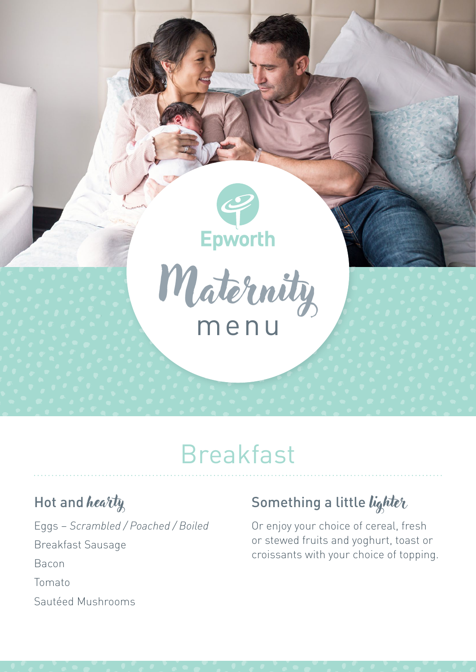

# Breakfast

### Hot and hearty

Eggs – *Scrambled / Poached / Boiled* Breakfast Sausage Bacon Tomato Sautéed Mushrooms

### Something a little lighter

Or enjoy your choice of cereal, fresh or stewed fruits and yoghurt, toast or croissants with your choice of topping.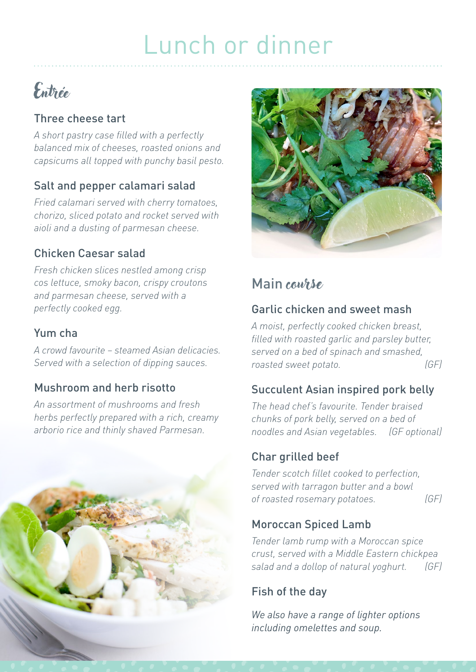# Lunch or dinner

## Entrée

#### Three cheese tart

*A short pastry case filled with a perfectly balanced mix of cheeses, roasted onions and capsicums all topped with punchy basil pesto.*

#### Salt and pepper calamari salad

*Fried calamari served with cherry tomatoes, chorizo, sliced potato and rocket served with aioli and a dusting of parmesan cheese.*

#### Chicken Caesar salad

*Fresh chicken slices nestled among crisp cos lettuce, smoky bacon, crispy croutons and parmesan cheese, served with a perfectly cooked egg.*

#### Yum cha

*A crowd favourite – steamed Asian delicacies. Served with a selection of dipping sauces.*

#### Mushroom and herb risotto

*An assortment of mushrooms and fresh herbs perfectly prepared with a rich, creamy arborio rice and thinly shaved Parmesan.*





### Main *course*

#### Garlic chicken and sweet mash

*A moist, perfectly cooked chicken breast, filled with roasted garlic and parsley butter, served on a bed of spinach and smashed, roasted sweet potato. (GF)*

#### Succulent Asian inspired pork belly

*The head chef's favourite. Tender braised chunks of pork belly, served on a bed of noodles and Asian vegetables. (GF optional)*

#### Char grilled beef

*Tender scotch fillet cooked to perfection, served with tarragon butter and a bowl of roasted rosemary potatoes. (GF)*

#### Moroccan Spiced Lamb

*Tender lamb rump with a Moroccan spice crust, served with a Middle Eastern chickpea salad and a dollop of natural yoghurt. (GF)*

#### Fish of the day

*We also have a range of lighter options including omelettes and soup.*